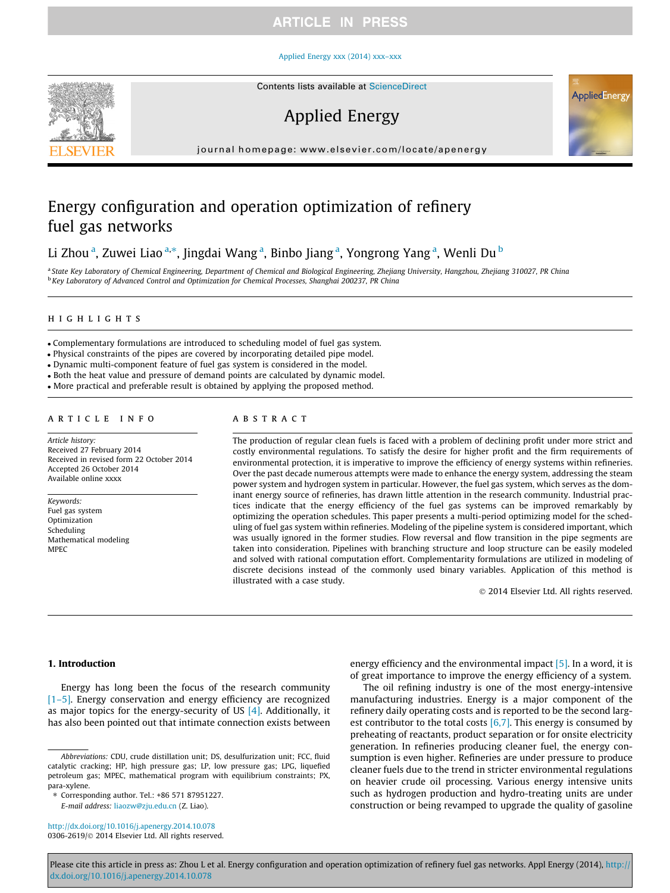#### [Applied Energy xxx \(2014\) xxx–xxx](http://dx.doi.org/10.1016/j.apenergy.2014.10.078)



Contents lists available at [ScienceDirect](http://www.sciencedirect.com/science/journal/03062619)

# Applied Energy

journal homepage: [www.elsevier.com/locate/apenergy](http://www.elsevier.com/locate/apenergy)

# Energy configuration and operation optimization of refinery fuel gas networks

# Li Zhou <sup>a</sup>, Zuwei Liao <sup>a,</sup>\*, Jingdai Wang <sup>a</sup>, Binbo Jiang <sup>a</sup>, Yongrong Yang <sup>a</sup>, Wenli Du <sup>b</sup>

a State Key Laboratory of Chemical Engineering, Department of Chemical and Biological Engineering, Zhejiang University, Hangzhou, Zhejiang 310027, PR China <sup>b</sup> Key Laboratory of Advanced Control and Optimization for Chemical Processes, Shanghai 200237, PR China

## highlights

- Complementary formulations are introduced to scheduling model of fuel gas system.

- Physical constraints of the pipes are covered by incorporating detailed pipe model.
- Dynamic multi-component feature of fuel gas system is considered in the model.
- Both the heat value and pressure of demand points are calculated by dynamic model.
- More practical and preferable result is obtained by applying the proposed method.

#### article info

Article history: Received 27 February 2014 Received in revised form 22 October 2014 Accepted 26 October 2014 Available online xxxx

Keywords: Fuel gas system Optimization Scheduling Mathematical modeling MPEC

# **ABSTRACT**

The production of regular clean fuels is faced with a problem of declining profit under more strict and costly environmental regulations. To satisfy the desire for higher profit and the firm requirements of environmental protection, it is imperative to improve the efficiency of energy systems within refineries. Over the past decade numerous attempts were made to enhance the energy system, addressing the steam power system and hydrogen system in particular. However, the fuel gas system, which serves as the dominant energy source of refineries, has drawn little attention in the research community. Industrial practices indicate that the energy efficiency of the fuel gas systems can be improved remarkably by optimizing the operation schedules. This paper presents a multi-period optimizing model for the scheduling of fuel gas system within refineries. Modeling of the pipeline system is considered important, which was usually ignored in the former studies. Flow reversal and flow transition in the pipe segments are taken into consideration. Pipelines with branching structure and loop structure can be easily modeled and solved with rational computation effort. Complementarity formulations are utilized in modeling of discrete decisions instead of the commonly used binary variables. Application of this method is illustrated with a case study.

- 2014 Elsevier Ltd. All rights reserved.

AppliedEnergy

# 1. Introduction

Energy has long been the focus of the research community [\[1–5\].](#page-9-0) Energy conservation and energy efficiency are recognized as major topics for the energy-security of US [\[4\]](#page-9-0). Additionally, it has also been pointed out that intimate connection exists between

<http://dx.doi.org/10.1016/j.apenergy.2014.10.078> 0306-2619/© 2014 Elsevier Ltd. All rights reserved. energy efficiency and the environmental impact [\[5\].](#page-9-0) In a word, it is of great importance to improve the energy efficiency of a system.

The oil refining industry is one of the most energy-intensive manufacturing industries. Energy is a major component of the refinery daily operating costs and is reported to be the second largest contributor to the total costs  $[6,7]$ . This energy is consumed by preheating of reactants, product separation or for onsite electricity generation. In refineries producing cleaner fuel, the energy consumption is even higher. Refineries are under pressure to produce cleaner fuels due to the trend in stricter environmental regulations on heavier crude oil processing. Various energy intensive units such as hydrogen production and hydro-treating units are under construction or being revamped to upgrade the quality of gasoline

Abbreviations: CDU, crude distillation unit; DS, desulfurization unit; FCC, fluid catalytic cracking; HP, high pressure gas; LP, low pressure gas; LPG, liquefied petroleum gas; MPEC, mathematical program with equilibrium constraints; PX, para-xylene.

<sup>⇑</sup> Corresponding author. Tel.: +86 571 87951227. E-mail address: [liaozw@zju.edu.cn](mailto:liaozw@zju.edu.cn) (Z. Liao).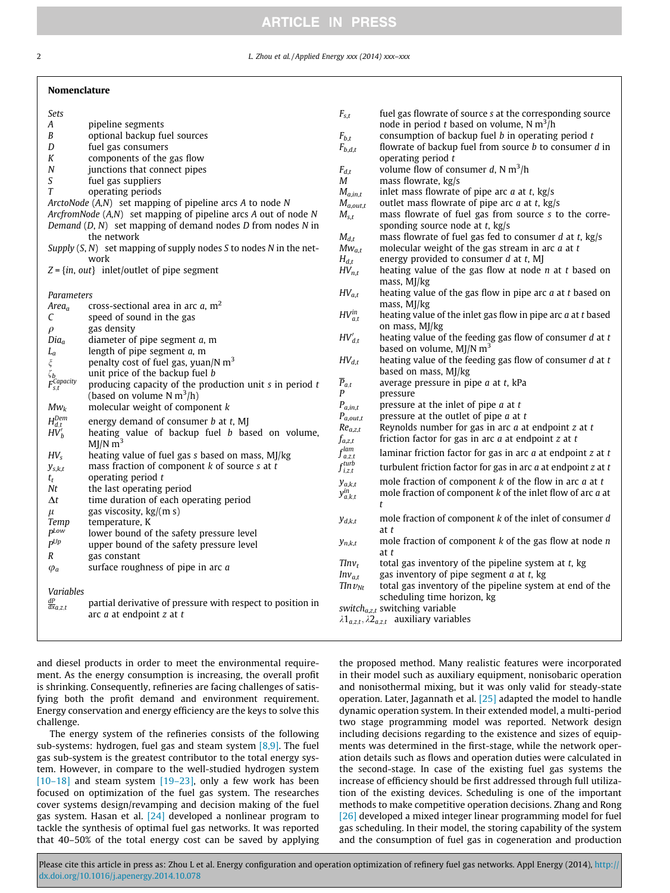2 L. Zhou et al. / Applied Energy xxx (2014) xxx–xxx

#### Nomenclature

| Sets<br>А<br>B<br>D<br>К<br>N<br>$\boldsymbol{S}$<br>T                                                                                                                | pipeline segments<br>optional backup fuel sources<br>fuel gas consumers<br>components of the gas flow<br>junctions that connect pipes<br>fuel gas suppliers<br>operating periods<br>ArctoNode (A,N) set mapping of pipeline arcs A to node N<br>ArcfromNode (A,N) set mapping of pipeline arcs A out of node N<br>Demand $(D, N)$ set mapping of demand nodes $D$ from nodes $N$ in<br>the network<br>Supply $(S, N)$ set mapping of supply nodes S to nodes N in the net-<br>work<br>$Z = \{in, out\}$ inlet/outlet of pipe segment | $F_{s,t}$<br>$F_{b,t}$<br>$F_{b,d,t}$<br>$F_{d,t}$<br>М<br>$M_{a,in,t}$<br>$M_{a,out,t}$<br>$M_{s,t}$<br>$M_{d,t}$<br>$Mw_{a,t}$<br>$H_{d,t}$<br>$HV_{n,t}$                             | fuel gas flowrate of source s at the corresponding source<br>node in period t based on volume, $N \text{ m}^3$ /h<br>consumption of backup fuel $b$ in operating period $t$<br>flowrate of backup fuel from source $b$ to consumer $d$ in<br>operating period $t$<br>volume flow of consumer d, N $m^3/h$<br>mass flowrate, kg/s<br>inlet mass flowrate of pipe arc $a$ at $t$ , kg/s<br>outlet mass flowrate of pipe arc $a$ at $t$ , kg/s<br>mass flowrate of fuel gas from source s to the corre-<br>sponding source node at $t$ , kg/s<br>mass flowrate of fuel gas fed to consumer $d$ at $t$ , kg/s<br>molecular weight of the gas stream in arc $a$ at $t$<br>energy provided to consumer $d$ at $t$ , MJ<br>heating value of the gas flow at node $n$ at $t$ based on |
|-----------------------------------------------------------------------------------------------------------------------------------------------------------------------|--------------------------------------------------------------------------------------------------------------------------------------------------------------------------------------------------------------------------------------------------------------------------------------------------------------------------------------------------------------------------------------------------------------------------------------------------------------------------------------------------------------------------------------|-----------------------------------------------------------------------------------------------------------------------------------------------------------------------------------------|-------------------------------------------------------------------------------------------------------------------------------------------------------------------------------------------------------------------------------------------------------------------------------------------------------------------------------------------------------------------------------------------------------------------------------------------------------------------------------------------------------------------------------------------------------------------------------------------------------------------------------------------------------------------------------------------------------------------------------------------------------------------------------|
| Parameters<br>$Area_a$<br>C<br>$\rho$<br>$Dia_a$<br>${\cal L}_a$<br>$\boldsymbol{\xi}$<br>$\zeta_b$ $F_{s,t}^{Capacity}$<br>$Mw_k$<br>$H_{d,t}^{Dem} \, H V_b^\prime$ | cross-sectional area in arc $a$ , m <sup>2</sup><br>speed of sound in the gas<br>gas density<br>diameter of pipe segment $a$ , m<br>length of pipe segment $a$ , m<br>penalty cost of fuel gas, yuan/N $m3$<br>unit price of the backup fuel b<br>producing capacity of the production unit $s$ in period $t$<br>(based on volume $N \text{ m}^3/h$ )<br>molecular weight of component $k$<br>energy demand of consumer b at t, MJ<br>heating value of backup fuel b based on volume,<br>$MJ/N$ m <sup>3</sup>                       | $HV_{a,t}$<br>$HV_{a,t}^{in}$<br>$HV'_{d.t}$<br>$HV_{d,t}$<br>$\overline{P}_{a,t}$<br>P<br>$\mathfrak{P}_{a,in,t}$<br>$P_{a,out,t}$<br>$Re_{a,z,t}$<br>$f_{a,z,t}$<br>$f_{a,z,t}^{lam}$ | mass, MJ/kg<br>heating value of the gas flow in pipe arc $a$ at $t$ based on<br>mass, MJ/kg<br>heating value of the inlet gas flow in pipe arc $a$ at $t$ based<br>on mass, MJ/kg<br>heating value of the feeding gas flow of consumer $d$ at $t$<br>based on volume, $MI/N$ m <sup>3</sup><br>heating value of the feeding gas flow of consumer $d$ at $t$<br>based on mass, MJ/kg<br>average pressure in pipe $a$ at $t$ , kPa<br>pressure<br>pressure at the inlet of pipe $a$ at $t$<br>pressure at the outlet of pipe $a$ at $t$<br>Reynolds number for gas in arc $a$ at endpoint $z$ at $t$<br>friction factor for gas in arc $a$ at endpoint $z$ at $t$<br>laminar friction factor for gas in arc $a$ at endpoint $z$ at $t$                                          |
| $HV_s$<br>$y_{s,k,t}$<br>$t_t$<br>Nt<br>$\Delta t$<br>$\mu$<br>Temp<br>$P^{Low}$<br>$P^{Up}$<br>$\boldsymbol{R}$<br>$\varphi_a$<br>Variables<br>$\frac{dP}{dx}a.z,t$  | heating value of fuel gas s based on mass, MJ/kg<br>mass fraction of component $k$ of source $s$ at $t$<br>operating period $t$<br>the last operating period<br>time duration of each operating period<br>gas viscosity, kg/(m s)<br>temperature, K<br>lower bound of the safety pressure level<br>upper bound of the safety pressure level<br>gas constant<br>surface roughness of pipe in arc $a$<br>partial derivative of pressure with respect to position in<br>arc $a$ at endpoint $z$ at $t$                                  | $f_{i,z,t}^{turb}$<br>$y_{a,k,t}$<br>$y_{a,k,t}^{in}$<br>$y_{d,k,t}$<br>$y_{n,k,t}$<br>$TInv_t$<br>$Inv_{a,t}$<br>$T ln v_{Nt}$                                                         | turbulent friction factor for gas in arc $a$ at endpoint $z$ at $t$<br>mole fraction of component $k$ of the flow in arc $a$ at $t$<br>mole fraction of component $k$ of the inlet flow of arc $a$ at<br>t<br>mole fraction of component $k$ of the inlet of consumer $d$<br>at <sub>t</sub><br>mole fraction of component $k$ of the gas flow at node $n$<br>at t<br>total gas inventory of the pipeline system at $t$ , kg<br>gas inventory of pipe segment $a$ at $t$ , kg<br>total gas inventory of the pipeline system at end of the<br>scheduling time horizon, kg<br>switch $a_{z,t}$ switching variable<br>$\lambda$ 1 <sub>a.z.t</sub> , $\lambda$ 2 <sub>a.z.t</sub> auxiliary variables                                                                            |

and diesel products in order to meet the environmental requirement. As the energy consumption is increasing, the overall profit is shrinking. Consequently, refineries are facing challenges of satisfying both the profit demand and environment requirement. Energy conservation and energy efficiency are the keys to solve this challenge.

The energy system of the refineries consists of the following sub-systems: hydrogen, fuel gas and steam system  $[8,9]$ . The fuel gas sub-system is the greatest contributor to the total energy system. However, in compare to the well-studied hydrogen system  $[10-18]$  and steam system  $[19-23]$ , only a few work has been focused on optimization of the fuel gas system. The researches cover systems design/revamping and decision making of the fuel gas system. Hasan et al. [\[24\]](#page-9-0) developed a nonlinear program to tackle the synthesis of optimal fuel gas networks. It was reported that 40–50% of the total energy cost can be saved by applying the proposed method. Many realistic features were incorporated in their model such as auxiliary equipment, nonisobaric operation and nonisothermal mixing, but it was only valid for steady-state operation. Later, Jagannath et al. [\[25\]](#page-9-0) adapted the model to handle dynamic operation system. In their extended model, a multi-period two stage programming model was reported. Network design including decisions regarding to the existence and sizes of equipments was determined in the first-stage, while the network operation details such as flows and operation duties were calculated in the second-stage. In case of the existing fuel gas systems the increase of efficiency should be first addressed through full utilization of the existing devices. Scheduling is one of the important methods to make competitive operation decisions. Zhang and Rong [\[26\]](#page-9-0) developed a mixed integer linear programming model for fuel gas scheduling. In their model, the storing capability of the system and the consumption of fuel gas in cogeneration and production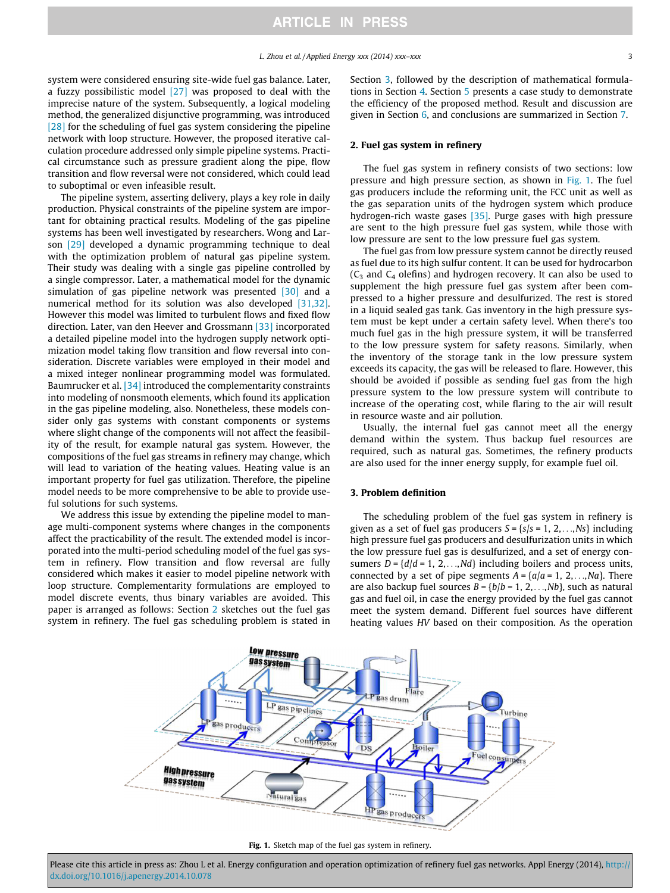system were considered ensuring site-wide fuel gas balance. Later, a fuzzy possibilistic model  $[27]$  was proposed to deal with the imprecise nature of the system. Subsequently, a logical modeling method, the generalized disjunctive programming, was introduced [\[28\]](#page-9-0) for the scheduling of fuel gas system considering the pipeline network with loop structure. However, the proposed iterative calculation procedure addressed only simple pipeline systems. Practical circumstance such as pressure gradient along the pipe, flow transition and flow reversal were not considered, which could lead to suboptimal or even infeasible result.

The pipeline system, asserting delivery, plays a key role in daily production. Physical constraints of the pipeline system are important for obtaining practical results. Modeling of the gas pipeline systems has been well investigated by researchers. Wong and Larson [\[29\]](#page-9-0) developed a dynamic programming technique to deal with the optimization problem of natural gas pipeline system. Their study was dealing with a single gas pipeline controlled by a single compressor. Later, a mathematical model for the dynamic simulation of gas pipeline network was presented [\[30\]](#page-9-0) and a numerical method for its solution was also developed [\[31,32\].](#page-9-0) However this model was limited to turbulent flows and fixed flow direction. Later, van den Heever and Grossmann [\[33\]](#page-10-0) incorporated a detailed pipeline model into the hydrogen supply network optimization model taking flow transition and flow reversal into consideration. Discrete variables were employed in their model and a mixed integer nonlinear programming model was formulated. Baumrucker et al. [\[34\]](#page-10-0) introduced the complementarity constraints into modeling of nonsmooth elements, which found its application in the gas pipeline modeling, also. Nonetheless, these models consider only gas systems with constant components or systems where slight change of the components will not affect the feasibility of the result, for example natural gas system. However, the compositions of the fuel gas streams in refinery may change, which will lead to variation of the heating values. Heating value is an important property for fuel gas utilization. Therefore, the pipeline model needs to be more comprehensive to be able to provide useful solutions for such systems.

We address this issue by extending the pipeline model to manage multi-component systems where changes in the components affect the practicability of the result. The extended model is incorporated into the multi-period scheduling model of the fuel gas system in refinery. Flow transition and flow reversal are fully considered which makes it easier to model pipeline network with loop structure. Complementarity formulations are employed to model discrete events, thus binary variables are avoided. This paper is arranged as follows: Section 2 sketches out the fuel gas system in refinery. The fuel gas scheduling problem is stated in Section 3, followed by the description of mathematical formulations in Section [4.](#page-3-0) Section [5](#page-6-0) presents a case study to demonstrate the efficiency of the proposed method. Result and discussion are given in Section [6,](#page-7-0) and conclusions are summarized in Section [7.](#page-9-0)

# 2. Fuel gas system in refinery

The fuel gas system in refinery consists of two sections: low pressure and high pressure section, as shown in Fig. 1. The fuel gas producers include the reforming unit, the FCC unit as well as the gas separation units of the hydrogen system which produce hydrogen-rich waste gases [\[35\]](#page-10-0). Purge gases with high pressure are sent to the high pressure fuel gas system, while those with low pressure are sent to the low pressure fuel gas system.

The fuel gas from low pressure system cannot be directly reused as fuel due to its high sulfur content. It can be used for hydrocarbon  $(C_3$  and  $C_4$  olefins) and hydrogen recovery. It can also be used to supplement the high pressure fuel gas system after been compressed to a higher pressure and desulfurized. The rest is stored in a liquid sealed gas tank. Gas inventory in the high pressure system must be kept under a certain safety level. When there's too much fuel gas in the high pressure system, it will be transferred to the low pressure system for safety reasons. Similarly, when the inventory of the storage tank in the low pressure system exceeds its capacity, the gas will be released to flare. However, this should be avoided if possible as sending fuel gas from the high pressure system to the low pressure system will contribute to increase of the operating cost, while flaring to the air will result in resource waste and air pollution.

Usually, the internal fuel gas cannot meet all the energy demand within the system. Thus backup fuel resources are required, such as natural gas. Sometimes, the refinery products are also used for the inner energy supply, for example fuel oil.

#### 3. Problem definition

The scheduling problem of the fuel gas system in refinery is given as a set of fuel gas producers  $S = \{s/s = 1, 2, \ldots, Ns\}$  including high pressure fuel gas producers and desulfurization units in which the low pressure fuel gas is desulfurized, and a set of energy consumers  $D = \{d/d = 1, 2, \ldots, Nd\}$  including boilers and process units, connected by a set of pipe segments  $A = \{a/a = 1, 2, \ldots, Na\}$ . There are also backup fuel sources  $B = \{b/b = 1, 2, \ldots, Nb\}$ , such as natural gas and fuel oil, in case the energy provided by the fuel gas cannot meet the system demand. Different fuel sources have different heating values HV based on their composition. As the operation



Fig. 1. Sketch map of the fuel gas system in refinery.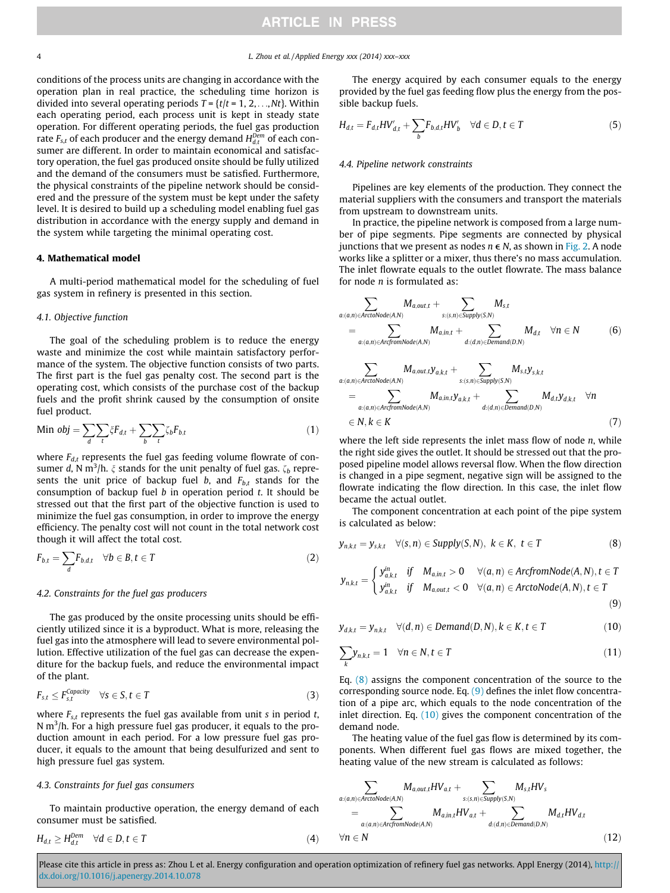<span id="page-3-0"></span>4 L. Zhou et al. / Applied Energy xxx (2014) xxx–xxx

conditions of the process units are changing in accordance with the operation plan in real practice, the scheduling time horizon is divided into several operating periods  $T = \{t/t = 1, 2, \ldots, Nt\}$ . Within each operating period, each process unit is kept in steady state operation. For different operating periods, the fuel gas production rate  $F_{\text{s},t}$  of each producer and the energy demand  $H_{d,t}^{Dem}$  of each consumer are different. In order to maintain economical and satisfactory operation, the fuel gas produced onsite should be fully utilized and the demand of the consumers must be satisfied. Furthermore, the physical constraints of the pipeline network should be considered and the pressure of the system must be kept under the safety level. It is desired to build up a scheduling model enabling fuel gas distribution in accordance with the energy supply and demand in the system while targeting the minimal operating cost.

#### 4. Mathematical model

A multi-period mathematical model for the scheduling of fuel gas system in refinery is presented in this section.

## 4.1. Objective function

The goal of the scheduling problem is to reduce the energy waste and minimize the cost while maintain satisfactory performance of the system. The objective function consists of two parts. The first part is the fuel gas penalty cost. The second part is the operating cost, which consists of the purchase cost of the backup fuels and the profit shrink caused by the consumption of onsite fuel product.

Min 
$$
obj = \sum_{d} \sum_{t} \xi F_{d,t} + \sum_{b} \sum_{t} \zeta_b F_{b,t}
$$
 (1)

where  $F_{d,t}$  represents the fuel gas feeding volume flowrate of consumer d, N m<sup>3</sup>/h.  $\xi$  stands for the unit penalty of fuel gas.  $\zeta_b$  represents the unit price of backup fuel b, and  $F_{b,t}$  stands for the consumption of backup fuel  $b$  in operation period  $t$ . It should be stressed out that the first part of the objective function is used to minimize the fuel gas consumption, in order to improve the energy efficiency. The penalty cost will not count in the total network cost though it will affect the total cost.

$$
F_{b,t} = \sum_{d} F_{b,d,t} \quad \forall b \in B, t \in T
$$
 (2)

## 4.2. Constraints for the fuel gas producers

The gas produced by the onsite processing units should be efficiently utilized since it is a byproduct. What is more, releasing the fuel gas into the atmosphere will lead to severe environmental pollution. Effective utilization of the fuel gas can decrease the expenditure for the backup fuels, and reduce the environmental impact of the plant.

$$
F_{s,t} \le F_{s,t}^{Capacity} \quad \forall s \in S, t \in T
$$
\n(3)

where  $F_{s,t}$  represents the fuel gas available from unit s in period t, N m $^3$ /h. For a high pressure fuel gas producer, it equals to the production amount in each period. For a low pressure fuel gas producer, it equals to the amount that being desulfurized and sent to high pressure fuel gas system.

## 4.3. Constraints for fuel gas consumers

To maintain productive operation, the energy demand of each consumer must be satisfied.

$$
H_{d,t} \ge H_{d,t}^{Dem} \quad \forall d \in D, t \in T
$$
\n
$$
(4)
$$

The energy acquired by each consumer equals to the energy provided by the fuel gas feeding flow plus the energy from the possible backup fuels.

$$
H_{d,t} = F_{d,t}HV'_{d,t} + \sum_{b} F_{b,d,t}HV'_{b} \quad \forall d \in D, t \in T
$$
 (5)

#### 4.4. Pipeline network constraints

Pipelines are key elements of the production. They connect the material suppliers with the consumers and transport the materials from upstream to downstream units.

In practice, the pipeline network is composed from a large number of pipe segments. Pipe segments are connected by physical junctions that we present as nodes  $n \in N$ , as shown in [Fig. 2.](#page-4-0) A node works like a splitter or a mixer, thus there's no mass accumulation. The inlet flowrate equals to the outlet flowrate. The mass balance for node  $n$  is formulated as:

$$
\sum_{a:(a,n)\in\text{ArctoNode}(A,N)} M_{a,out,t} + \sum_{s:(s,n)\in\text{Supply}(S,N)} M_{s,t}
$$
\n
$$
= \sum_{a:(a,n)\in\text{ArcfromNode}(A,N)} M_{a,in,t} + \sum_{d:(d,n)\in\text{Demand}(D,N)} M_{d,t} \quad \forall n \in N
$$
\n(6)

$$
\sum_{\substack{a:(a,n)\in ArctolNode(A,N)\\ \vdots\\ a:(a,n)\in ArcfromNode(A,N)}} M_{a,out,t} y_{a,k,t} + \sum_{\substack{s:(s,n)\in Supply(S,N)\\ d:(d,n)\in Demand(D,N)}} M_{s,t} y_{s,k,t} \quad \forall n
$$
\n
$$
\in N, k \in K \tag{7}
$$

where the left side represents the inlet mass flow of node  $n$ , while the right side gives the outlet. It should be stressed out that the proposed pipeline model allows reversal flow. When the flow direction is changed in a pipe segment, negative sign will be assigned to the flowrate indicating the flow direction. In this case, the inlet flow became the actual outlet.

The component concentration at each point of the pipe system is calculated as below:

$$
y_{n,k,t} = y_{s,k,t} \quad \forall (s,n) \in \text{Supply}(S,N), \ k \in K, \ t \in T
$$
 (8)

$$
y_{n,k,t} = \begin{cases} y_{a,k,t}^{in} & \text{if } M_{a,in,t} > 0 \quad \forall (a,n) \in ArcfromNode(A,N), t \in T \\ y_{a,k,t}^{in} & \text{if } M_{a,out,t} < 0 \quad \forall (a,n) \in ArctonNode(A,N), t \in T \end{cases}
$$
(9)

$$
y_{d,k,t} = y_{n,k,t} \quad \forall (d,n) \in Demand(D,N), k \in K, t \in T
$$
 (10)

$$
\sum_{k} y_{n,k,t} = 1 \quad \forall n \in \mathbb{N}, t \in \mathbb{T}
$$
\n(11)

Eq. (8) assigns the component concentration of the source to the corresponding source node. Eq.  $(9)$  defines the inlet flow concentration of a pipe arc, which equals to the node concentration of the inlet direction. Eq. (10) gives the component concentration of the demand node.

The heating value of the fuel gas flow is determined by its components. When different fuel gas flows are mixed together, the heating value of the new stream is calculated as follows:

$$
\sum_{a:(a,n)\in ArctoNode(A,N)} M_{a,out,t}HV_{a,t} + \sum_{s:(s,n)\in Supply(S,N)} M_{s,t}HV_s
$$
\n
$$
= \sum_{a:(a,n)\in ArcfromNode(A,N)} M_{a,in,t}HV_{a,t} + \sum_{d:(d,n)\in Demand(D,N)} M_{d,t}HV_{d,t}
$$
\n
$$
\forall n \in N
$$
\n(12)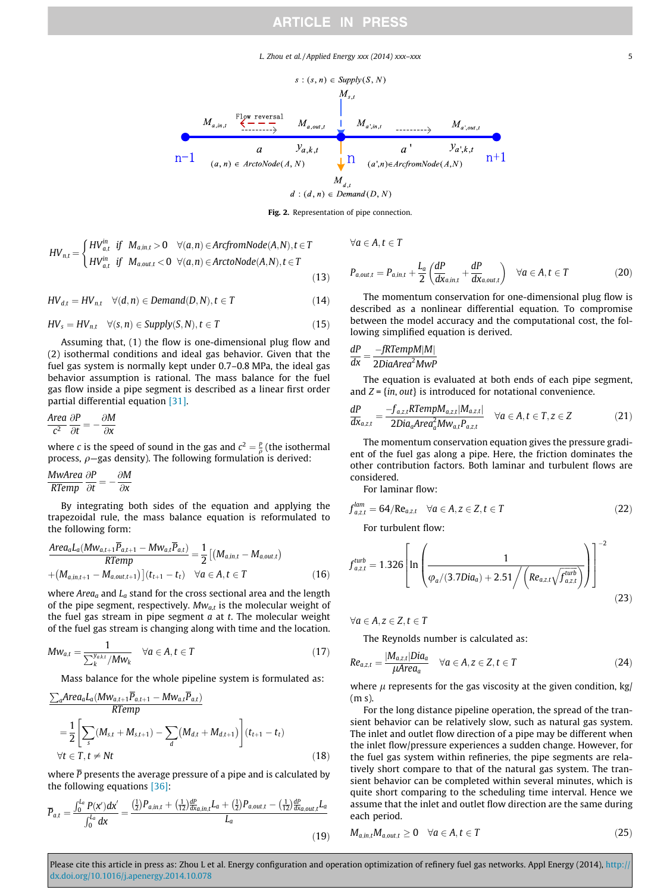L. Zhou et al. / Applied Energy xxx (2014) xxx–xxx 5

<span id="page-4-0"></span>

Fig. 2. Representation of pipe connection.

$$
HV_{n,t} = \begin{cases} HV_{a,t}^{in} & \text{if } M_{a,in,t} > 0 \quad \forall (a,n) \in ArcfromNode(A,N), t \in T \\ HV_{a,t}^{in} & \text{if } M_{a,out,t} < 0 \quad \forall (a,n) \in ArctonNode(A,N), t \in T \end{cases}
$$
(13)

 $HV_{d,t} = HV_{n,t}$   $\forall (d,n) \in Demand(D,N), t \in T$  (14)

$$
HV_s = HV_{n,t} \quad \forall (s,n) \in Supply(S,N), t \in T \tag{15}
$$

Assuming that, (1) the flow is one-dimensional plug flow and (2) isothermal conditions and ideal gas behavior. Given that the fuel gas system is normally kept under 0.7–0.8 MPa, the ideal gas behavior assumption is rational. The mass balance for the fuel gas flow inside a pipe segment is described as a linear first order partial differential equation [\[31\].](#page-9-0)

$$
\frac{\text{Area}}{c^2} \frac{\partial P}{\partial t} = -\frac{\partial M}{\partial x}
$$

where c is the speed of sound in the gas and  $c^2 = \frac{p}{\rho}$  (the isothermal process,  $\rho$ -gas density). The following formulation is derived:

$$
\frac{MwArea}{RTemp} \frac{\partial P}{\partial t} = -\frac{\partial M}{\partial x}
$$

By integrating both sides of the equation and applying the trapezoidal rule, the mass balance equation is reformulated to the following form:

$$
\frac{Area_a L_a(Mw_{a,t+1} \overline{P}_{a,t+1} - Mw_{a,t} \overline{P}_{a,t})}{RTemp} = \frac{1}{2} [(M_{a,in,t} - M_{a,out,t}) + (M_{a,in,t+1} - M_{a,out,t+1})](t_{t+1} - t_t) \quad \forall a \in A, t \in T
$$
\n(16)

where  $Area_a$  and  $L_a$  stand for the cross sectional area and the length of the pipe segment, respectively.  $Mw_{a,t}$  is the molecular weight of the fuel gas stream in pipe segment  $a$  at  $t$ . The molecular weight of the fuel gas stream is changing along with time and the location.

$$
Mw_{a,t} = \frac{1}{\sum_{k}^{y_{a,k,t}}/Mw_k} \quad \forall a \in A, t \in T
$$
\n(17)

Mass balance for the whole pipeline system is formulated as:

$$
\frac{\sum_{a}Area_{a}L_{a}(Mw_{a,t+1}\overline{P}_{a,t+1} - Mw_{a,t}\overline{P}_{a,t})}{RTemp}
$$
\n
$$
= \frac{1}{2} \left[ \sum_{s} (M_{s,t} + M_{s,t+1}) - \sum_{d} (M_{d,t} + M_{d,t+1}) \right] (t_{t+1} - t_{t})
$$
\n
$$
\forall t \in T, t \neq Nt
$$
\n(18)

where  $\overline{P}$  presents the average pressure of a pipe and is calculated by the following equations [\[36\]](#page-10-0):

$$
\overline{P}_{a,t} = \frac{\int_0^{L_a} P(x')dx'}{\int_0^{L_a} dx} = \frac{\left(\frac{1}{2}\right)P_{a,in,t} + \left(\frac{1}{12}\right)\frac{dP}{dx_{a,in,t}}L_a + \left(\frac{1}{2}\right)P_{a,out,t} - \left(\frac{1}{12}\right)\frac{dP}{dx_{a,out,t}}L_a}{L_a}
$$
\n(19)

 $\forall a \in A, t \in T$ 

$$
P_{a,out,t} = P_{a,in,t} + \frac{L_a}{2} \left( \frac{dP}{dx_{a,in,t}} + \frac{dP}{dx_{a,out,t}} \right) \quad \forall a \in A, t \in T
$$
 (20)

The momentum conservation for one-dimensional plug flow is described as a nonlinear differential equation. To compromise between the model accuracy and the computational cost, the following simplified equation is derived.

# $\frac{dP}{dx} = \frac{-fRTempM|M|}{2DiaArea^2MwP}$

The equation is evaluated at both ends of each pipe segment, and  $Z = \{in, out\}$  is introduced for notational convenience.

$$
\frac{dP}{dx_{a,z,t}} = \frac{-f_{a,z,t}RTempM_{a,z,t}|M_{a,z,t}|}{2Di a_a Area_a^2 M w_{a,t} P_{a,z,t}} \quad \forall a \in A, t \in T, z \in Z
$$
 (21)

The momentum conservation equation gives the pressure gradient of the fuel gas along a pipe. Here, the friction dominates the other contribution factors. Both laminar and turbulent flows are considered.

For laminar flow:

$$
f_{a,z,t}^{lam} = 64/Re_{a,z,t} \quad \forall a \in A, z \in Z, t \in T
$$
\nFor turbulent flow:

\n
$$
f(x) = \frac{1}{2} \int_{-\infty}^{\infty} f(x) \, dx
$$

 $f_{a,z,t}^{turb} = 1.326 \ln \left| \frac{1}{1 + \frac{1}{1 + \frac{1}{1 + \frac{1}{1 + \frac{1}{1 + \frac{1}{1 + \frac{1}{1 + \frac{1}{1 + \frac{1}{1 + \frac{1}{1 + \frac{1}{1 + \frac{1}{1 + \frac{1}{1 + \frac{1}{1 + \frac{1}{1 + \frac{1}{1 + \frac{1}{1 + \frac{1}{1 + \frac{1}{1 + \frac{1}{1 + \frac{1}{1 + \frac{1}{1 + \frac{1}{1 + \frac{1}{1 + \frac{1}{1 + \frac{1}{1 + \frac{1}{1 + \frac{1}{1 + \frac$  $\sqrt{\varphi_a/(3.7Di\alpha_a)+2.51\bigg/\bigg(Re_{a,z,t}\sqrt{f_{a,z,t}^{turb}}\bigg)}$ 'f <sup>turb</sup><br>J`a,z,t  $\sqrt{\frac{1}{\sqrt{1-\frac{1}{2}}}}$  $\overline{1}$  $\parallel$  $\sqrt{2}$  $\cdot \cdot$  $\overline{1}$  $\overline{\phantom{a}}$  $\overline{1}$  $\vert$  $^{-2}$  $(23)$ 

 $\forall a \in A, z \in Z, t \in T$ 

The Reynolds number is calculated as:

$$
Re_{a,z,t} = \frac{|M_{a,z,t}|Dia_a}{\mu Area_a} \quad \forall a \in A, z \in Z, t \in T
$$
 (24)

where  $\mu$  represents for the gas viscosity at the given condition, kg/ (m s).

For the long distance pipeline operation, the spread of the transient behavior can be relatively slow, such as natural gas system. The inlet and outlet flow direction of a pipe may be different when the inlet flow/pressure experiences a sudden change. However, for the fuel gas system within refineries, the pipe segments are relatively short compare to that of the natural gas system. The transient behavior can be completed within several minutes, which is quite short comparing to the scheduling time interval. Hence we assume that the inlet and outlet flow direction are the same during each period.

$$
M_{a,in,t}M_{a,out,t} \geq 0 \quad \forall a \in A, t \in T
$$
\n
$$
(25)
$$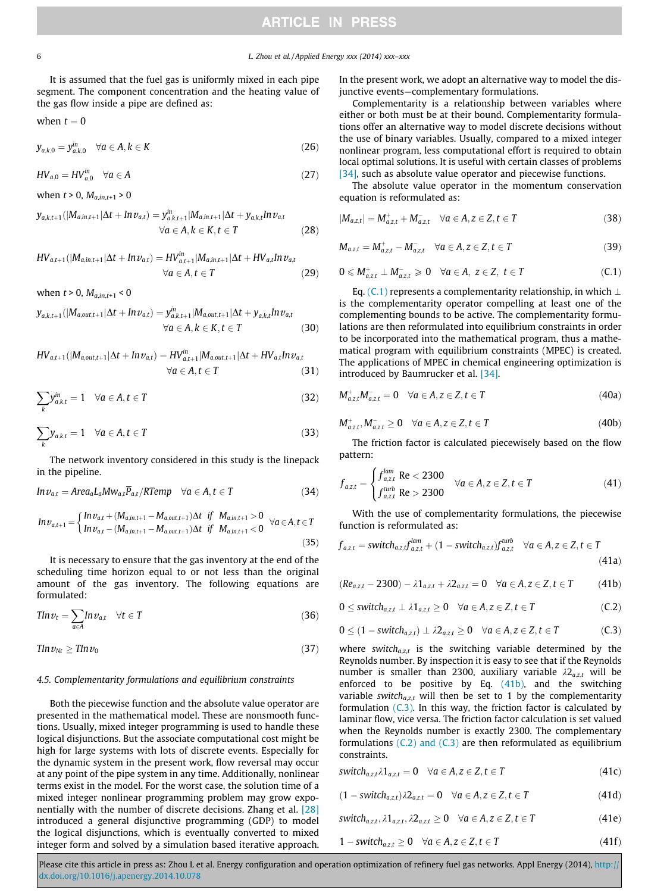# 6 L. Zhou et al. / Applied Energy xxx (2014) xxx–xxx

It is assumed that the fuel gas is uniformly mixed in each pipe segment. The component concentration and the heating value of the gas flow inside a pipe are defined as:

when 
$$
t = 0
$$

$$
y_{a,k,0} = y_{a,k,0}^{in} \quad \forall a \in A, k \in K
$$
\n
$$
(26)
$$

$$
HV_{a,0} = HV_{a,0}^{in} \quad \forall a \in A
$$
\n
$$
(27)
$$

when  $t > 0$ ,  $M_{a,in,t+1} > 0$ 

$$
y_{a,k,t+1}(|M_{a,in,t+1}|\Delta t + Inv_{a,t}) = y_{a,k,t+1}^{in}|M_{a,in,t+1}|\Delta t + y_{a,k,t}ln v_{a,t}
$$
  

$$
\forall a \in A, k \in K, t \in T
$$
 (28)

$$
HV_{a,t+1}(|M_{a,in,t+1}|\Delta t + Inv_{a,t}) = HV_{a,t+1}^{in}|M_{a,in,t+1}|\Delta t + HV_{a,t}ln v_{a,t}
$$
  

$$
\forall a \in A, t \in T
$$
 (29)

when  $t > 0$ ,  $M_{a,in,t+1} < 0$ 

$$
y_{a,k,t+1}(|M_{a,out,t+1}|\Delta t + In v_{a,t}) = y_{a,k,t+1}^{in}|M_{a,out,t+1}|\Delta t + y_{a,k,t}ln v_{a,t}
$$
  

$$
\forall a \in A, k \in K, t \in T
$$
 (30)

$$
HV_{a,t+1}(|M_{a,out,t+1}|\Delta t + In\nu_{a,t}) = HV_{a,t+1}^{in}|M_{a,out,t+1}|\Delta t + HV_{a,t}ln\nu_{a,t}
$$
  

$$
\forall a \in A, t \in T
$$
 (31)

$$
\sum_{k} y_{a,k,t}^{in} = 1 \quad \forall a \in A, t \in T
$$
\n(32)

$$
\sum_{k} y_{a,k,t} = 1 \quad \forall a \in A, t \in T
$$
\n(33)

The network inventory considered in this study is the linepack in the pipeline.

$$
In \nu_{a,t} = Area_a L_a M w_{a,t} \overline{P}_{a,t} / RTemp \quad \forall a \in A, t \in T
$$
 (34)

$$
In\nu_{a,t+1} = \begin{cases} In\nu_{a,t} + (M_{a,in,t+1} - M_{a,out,t+1})\Delta t & \text{if } M_{a,in,t+1} > 0 \\ In\nu_{a,t} - (M_{a,in,t+1} - M_{a,out,t+1})\Delta t & \text{if } M_{a,in,t+1} < 0 \end{cases} \forall a \in A, t \in T
$$
\n(35)

It is necessary to ensure that the gas inventory at the end of the scheduling time horizon equal to or not less than the original amount of the gas inventory. The following equations are formulated:

$$
T \ln \nu_t = \sum_{a \in A} \ln \nu_{a,t} \quad \forall t \in T \tag{36}
$$

$$
T \ln v_{\text{Nt}} \geq T \ln v_0 \tag{37}
$$

#### 4.5. Complementarity formulations and equilibrium constraints

Both the piecewise function and the absolute value operator are presented in the mathematical model. These are nonsmooth functions. Usually, mixed integer programming is used to handle these logical disjunctions. But the associate computational cost might be high for large systems with lots of discrete events. Especially for the dynamic system in the present work, flow reversal may occur at any point of the pipe system in any time. Additionally, nonlinear terms exist in the model. For the worst case, the solution time of a mixed integer nonlinear programming problem may grow exponentially with the number of discrete decisions. Zhang et al. [\[28\]](#page-9-0) introduced a general disjunctive programming (GDP) to model the logical disjunctions, which is eventually converted to mixed integer form and solved by a simulation based iterative approach.

In the present work, we adopt an alternative way to model the disjunctive events—complementary formulations.

Complementarity is a relationship between variables where either or both must be at their bound. Complementarity formulations offer an alternative way to model discrete decisions without the use of binary variables. Usually, compared to a mixed integer nonlinear program, less computational effort is required to obtain local optimal solutions. It is useful with certain classes of problems [\[34\]](#page-10-0), such as absolute value operator and piecewise functions.

The absolute value operator in the momentum conservation equation is reformulated as:

$$
|M_{a,z,t}| = M_{a,z,t}^+ + M_{a,z,t}^- \quad \forall a \in A, z \in Z, t \in T
$$
\n(38)

$$
M_{a,z,t} = M_{a,z,t}^+ - M_{a,z,t}^- \quad \forall a \in A, z \in Z, t \in T
$$
\n(39)

$$
0 \leqslant M_{a,z,t}^+ \perp M_{a,z,t}^- \geqslant 0 \quad \forall a \in A, \ z \in Z, \ t \in T \tag{C.1}
$$

Eq. (C,1) represents a complementarity relationship, in which  $\perp$ is the complementarity operator compelling at least one of the complementing bounds to be active. The complementarity formulations are then reformulated into equilibrium constraints in order to be incorporated into the mathematical program, thus a mathematical program with equilibrium constraints (MPEC) is created. The applications of MPEC in chemical engineering optimization is introduced by Baumrucker et al. [\[34\].](#page-10-0)

$$
M_{a,z,t}^+ M_{a,z,t}^- = 0 \quad \forall a \in A, z \in Z, t \in T \tag{40a}
$$

$$
M_{a,z,t}^+, M_{a,z,t}^- \ge 0 \quad \forall a \in A, z \in Z, t \in T \tag{40b}
$$

The friction factor is calculated piecewisely based on the flow pattern:

$$
f_{a,z,t} = \begin{cases} f_{a,z,t}^{lam} \text{ Re} < 2300 \\ f_{a,z,t}^{turb} \text{ Re} > 2300 \end{cases} \quad \forall a \in A, z \in Z, t \in T \tag{41}
$$

With the use of complementarity formulations, the piecewise function is reformulated as:

$$
f_{a,z,t} = switch_{a,z,t}f_{a,z,t}^{lam} + (1 - switch_{a,z,t})f_{a,z,t}^{turb} \quad \forall a \in A, z \in Z, t \in T
$$
\n(41a)

$$
(Re_{a,z,t}-2300)-\lambda 1_{a,z,t}+\lambda 2_{a,z,t}=0 \quad \forall a\in A, z\in Z, t\in T \qquad \quad (41b)
$$

$$
0 \leq switch_{a,z,t} \perp \lambda 1_{a,z,t} \geq 0 \quad \forall a \in A, z \in Z, t \in T
$$
 (C.2)

$$
0\leq (1-\textit{switch}_{\textit{a},z,t})\perp \lambda2_{\textit{a},z,t}\geq 0 \quad \forall \textit{a} \in A, \textit{z} \in Z, t \in T \tag{C.3}
$$

where switch $a_{a,z,t}$  is the switching variable determined by the Reynolds number. By inspection it is easy to see that if the Reynolds number is smaller than 2300, auxiliary variable  $\lambda_2$ <sub>azt</sub> will be enforced to be positive by Eq. (41b), and the switching variable switch $a_{a,z,t}$  will then be set to 1 by the complementarity formulation  $(C.3)$ . In this way, the friction factor is calculated by laminar flow, vice versa. The friction factor calculation is set valued when the Reynolds number is exactly 2300. The complementary formulations  $(C.2)$  and  $(C.3)$  are then reformulated as equilibrium constraints.

$$
switch_{a,z,t}\lambda1_{a,z,t}=0 \quad \forall a \in A, z \in Z, t \in T
$$
\n(41c)

$$
(1 - switch_{a,z,t})\lambda 2_{a,z,t} = 0 \quad \forall a \in A, z \in Z, t \in T
$$
\n(41d)

$$
switch_{a,z,t}, \lambda 1_{a,z,t}, \lambda 2_{a,z,t} \ge 0 \quad \forall a \in A, z \in Z, t \in T
$$
\n
$$
(41e)
$$

$$
1 - switch_{a,z,t} \ge 0 \quad \forall a \in A, z \in Z, t \in T \tag{41f}
$$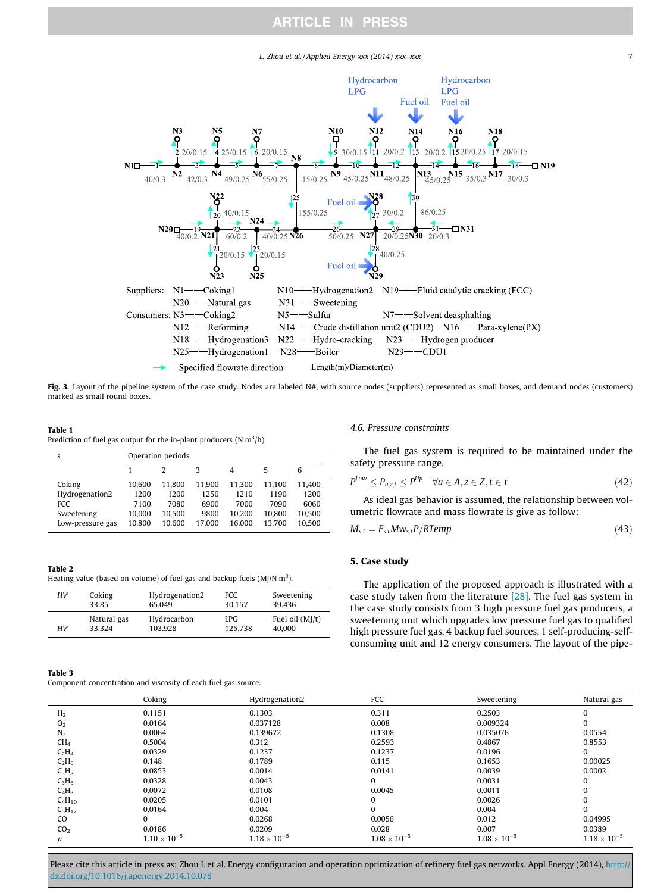# L. Zhou et al. / Applied Energy xxx (2014) xxx-xxx 7

<span id="page-6-0"></span>

Fig. 3. Layout of the pipeline system of the case study. Nodes are labeled N#, with source nodes (suppliers) represented as small boxes, and demand nodes (customers) marked as small round boxes.

#### Table 1

Prediction of fuel gas output for the in-plant producers (N  $m^3/h$ ).

| S                | Operation periods |        |        |        |        |        |  |
|------------------|-------------------|--------|--------|--------|--------|--------|--|
|                  |                   |        | κ      | 4      | 5      | 6      |  |
| Coking           | 10.600            | 11.800 | 11.900 | 11.300 | 11.100 | 11.400 |  |
| Hydrogenation2   | 1200              | 1200   | 1250   | 1210   | 1190   | 1200   |  |
| <b>FCC</b>       | 7100              | 7080   | 6900   | 7000   | 7090   | 6060   |  |
| Sweetening       | 10.000            | 10.500 | 9800   | 10.200 | 10.800 | 10.500 |  |
| Low-pressure gas | 10.800            | 10.600 | 17.000 | 16.000 | 13.700 | 10.500 |  |

# Table 2

Heating value (based on volume) of fuel gas and backup fuels (MJ/N  $m^3$ ).

| HV | Coking      | Hydrogenation2 | <b>FCC</b> | Sweetening        |
|----|-------------|----------------|------------|-------------------|
|    | 33.85       | 65.049         | 30.157     | 39.436            |
| HV | Natural gas | Hydrocarbon    | LPG.       | Fuel oil $(MI/t)$ |
|    | 33.324      | 103.928        | 125.738    | 40,000            |

#### Table 3

Component concentration and viscosity of each fuel gas source.

#### 4.6. Pressure constraints

The fuel gas system is required to be maintained under the safety pressure range.

$$
P^{Low} \le P_{a,z,t} \le P^{Up} \quad \forall a \in A, z \in Z, t \in t \tag{42}
$$

As ideal gas behavior is assumed, the relationship between volumetric flowrate and mass flowrate is give as follow:

$$
M_{s,t} = F_{s,t} M w_{s,t} P / R Temp \qquad (43)
$$

## 5. Case study

The application of the proposed approach is illustrated with a case study taken from the literature [\[28\]](#page-9-0). The fuel gas system in the case study consists from 3 high pressure fuel gas producers, a sweetening unit which upgrades low pressure fuel gas to qualified high pressure fuel gas, 4 backup fuel sources, 1 self-producing-selfconsuming unit and 12 energy consumers. The layout of the pipe-

|                 | Coking                | Hydrogenation2        | FCC                   | Sweetening            | Natural gas           |
|-----------------|-----------------------|-----------------------|-----------------------|-----------------------|-----------------------|
| H <sub>2</sub>  | 0.1151                | 0.1303                | 0.311                 | 0.2503                | $\Omega$              |
| O <sub>2</sub>  | 0.0164                | 0.037128              | 0.008                 | 0.009324              | $\bf{0}$              |
| N <sub>2</sub>  | 0.0064                | 0.139672              | 0.1308                | 0.035076              | 0.0554                |
| CH <sub>4</sub> | 0.5004                | 0.312                 | 0.2593                | 0.4867                | 0.8553                |
| $C_2H_4$        | 0.0329                | 0.1237                | 0.1237                | 0.0196                | $\bf{0}$              |
| $C_2H_6$        | 0.148                 | 0.1789                | 0.115                 | 0.1653                | 0.00025               |
| $C_3H_8$        | 0.0853                | 0.0014                | 0.0141                | 0.0039                | 0.0002                |
| $C_3H_6$        | 0.0328                | 0.0043                | 0                     | 0.0031                | $\bf{0}$              |
| $C_4H_8$        | 0.0072                | 0.0108                | 0.0045                | 0.0011                | $\bf{0}$              |
| $C_4H_{10}$     | 0.0205                | 0.0101                | 0                     | 0.0026                | $\Omega$              |
| $C_5H_{12}$     | 0.0164                | 0.004                 | $\Omega$              | 0.004                 | $\Omega$              |
| <sub>CO</sub>   | $\bf{0}$              | 0.0268                | 0.0056                | 0.012                 | 0.04995               |
| CO <sub>2</sub> | 0.0186                | 0.0209                | 0.028                 | 0.007                 | 0.0389                |
| $\mu$           | $1.10 \times 10^{-5}$ | $1.18 \times 10^{-5}$ | $1.08 \times 10^{-5}$ | $1.08 \times 10^{-5}$ | $1.18 \times 10^{-5}$ |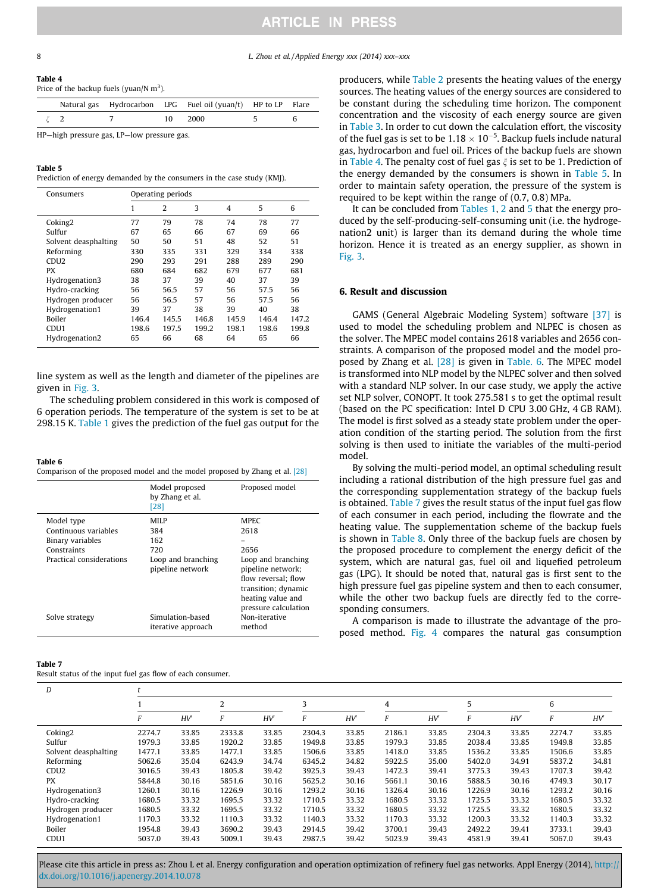<span id="page-7-0"></span>8 L. Zhou et al. / Applied Energy xxx (2014) xxx–xxx

#### Table 4

Price of the backup fuels (yuan/N  $m<sup>3</sup>$ ).

|  |    | Natural gas Hydrocarbon LPG Fuel oil (yuan/t) HP to LP Flare |  |
|--|----|--------------------------------------------------------------|--|
|  | 10 | 2000                                                         |  |

HP—high pressure gas, LP—low pressure gas.

#### Table 5

Prediction of energy demanded by the consumers in the case study (KMJ).

| Consumers            |       | Operating periods |       |       |       |       |
|----------------------|-------|-------------------|-------|-------|-------|-------|
|                      | 1     | $\overline{2}$    | 3     | 4     | 5     | 6     |
| Coking <sub>2</sub>  | 77    | 79                | 78    | 74    | 78    | 77    |
| Sulfur               | 67    | 65                | 66    | 67    | 69    | 66    |
| Solvent deasphalting | 50    | 50                | 51    | 48    | 52    | 51    |
| Reforming            | 330   | 335               | 331   | 329   | 334   | 338   |
| CDU <sub>2</sub>     | 290   | 293               | 291   | 288   | 289   | 290   |
| <b>PX</b>            | 680   | 684               | 682   | 679   | 677   | 681   |
| Hydrogenation3       | 38    | 37                | 39    | 40    | 37    | 39    |
| Hydro-cracking       | 56    | 56.5              | 57    | 56    | 57.5  | 56    |
| Hydrogen producer    | 56    | 56.5              | 57    | 56    | 57.5  | 56    |
| Hydrogenation1       | 39    | 37                | 38    | 39    | 40    | 38    |
| <b>Boiler</b>        | 146.4 | 145.5             | 146.8 | 145.9 | 146.4 | 147.2 |
| CDU <sub>1</sub>     | 198.6 | 197.5             | 199.2 | 198.1 | 198.6 | 199.8 |
| Hydrogenation2       | 65    | 66                | 68    | 64    | 65    | 66    |

line system as well as the length and diameter of the pipelines are given in [Fig. 3](#page-6-0).

The scheduling problem considered in this work is composed of 6 operation periods. The temperature of the system is set to be at 298.15 K. [Table 1](#page-6-0) gives the prediction of the fuel gas output for the

# Table 6

Comparison of the proposed model and the model proposed by Zhang et al. [\[28\]](#page-9-0)

|                                                                                                   | Model proposed<br>by Zhang et al.<br>[28]                           | Proposed model                                                                                                       |
|---------------------------------------------------------------------------------------------------|---------------------------------------------------------------------|----------------------------------------------------------------------------------------------------------------------|
| Model type<br>Continuous variables<br>Binary variables<br>Constraints<br>Practical considerations | MILP<br>384<br>162<br>720<br>Loop and branching<br>pipeline network | <b>MPEC</b><br>2618<br>2656<br>Loop and branching<br>pipeline network;<br>flow reversal: flow<br>transition; dynamic |
| Solve strategy                                                                                    | Simulation-based<br>iterative approach                              | heating value and<br>pressure calculation<br>Non-iterative<br>method                                                 |

#### Table 7

Result status of the input fuel gas flow of each consumer.

producers, while [Table 2](#page-6-0) presents the heating values of the energy sources. The heating values of the energy sources are considered to be constant during the scheduling time horizon. The component concentration and the viscosity of each energy source are given in [Table 3.](#page-6-0) In order to cut down the calculation effort, the viscosity of the fuel gas is set to be 1.18  $\times$  10<sup>-5</sup>. Backup fuels include natural gas, hydrocarbon and fuel oil. Prices of the backup fuels are shown in Table 4. The penalty cost of fuel gas  $\xi$  is set to be 1. Prediction of the energy demanded by the consumers is shown in Table 5. In order to maintain safety operation, the pressure of the system is required to be kept within the range of (0.7, 0.8) MPa.

It can be concluded from [Tables 1](#page-6-0), [2](#page-6-0) and 5 that the energy produced by the self-producing-self-consuming unit (i.e. the hydrogenation2 unit) is larger than its demand during the whole time horizon. Hence it is treated as an energy supplier, as shown in [Fig. 3](#page-6-0).

# 6. Result and discussion

GAMS (General Algebraic Modeling System) software [\[37\]](#page-10-0) is used to model the scheduling problem and NLPEC is chosen as the solver. The MPEC model contains 2618 variables and 2656 constraints. A comparison of the proposed model and the model proposed by Zhang et al. [\[28\]](#page-9-0) is given in Table. 6. The MPEC model is transformed into NLP model by the NLPEC solver and then solved with a standard NLP solver. In our case study, we apply the active set NLP solver, CONOPT. It took 275.581 s to get the optimal result (based on the PC specification: Intel D CPU 3.00 GHz, 4 GB RAM). The model is first solved as a steady state problem under the operation condition of the starting period. The solution from the first solving is then used to initiate the variables of the multi-period model.

By solving the multi-period model, an optimal scheduling result including a rational distribution of the high pressure fuel gas and the corresponding supplementation strategy of the backup fuels is obtained. Table 7 gives the result status of the input fuel gas flow of each consumer in each period, including the flowrate and the heating value. The supplementation scheme of the backup fuels is shown in [Table 8](#page-8-0). Only three of the backup fuels are chosen by the proposed procedure to complement the energy deficit of the system, which are natural gas, fuel oil and liquefied petroleum gas (LPG). It should be noted that, natural gas is first sent to the high pressure fuel gas pipeline system and then to each consumer, while the other two backup fuels are directly fed to the corresponding consumers.

A comparison is made to illustrate the advantage of the proposed method. [Fig. 4](#page-8-0) compares the natural gas consumption

| D                    |        |       |        |       |                          |       |        |       |        |       |        |       |
|----------------------|--------|-------|--------|-------|--------------------------|-------|--------|-------|--------|-------|--------|-------|
|                      |        |       | ∽      |       | $\overline{\phantom{0}}$ |       |        |       | 5      |       | 6      |       |
|                      |        | HV'   |        | HV'   | F                        | HV'   |        | HV'   |        | HV'   |        | HV'   |
| Coking <sub>2</sub>  | 2274.7 | 33.85 | 2333.8 | 33.85 | 2304.3                   | 33.85 | 2186.1 | 33.85 | 2304.3 | 33.85 | 2274.7 | 33.85 |
| Sulfur               | 1979.3 | 33.85 | 1920.2 | 33.85 | 1949.8                   | 33.85 | 1979.3 | 33.85 | 2038.4 | 33.85 | 1949.8 | 33.85 |
| Solvent deasphalting | 1477.1 | 33.85 | 1477.1 | 33.85 | 1506.6                   | 33.85 | 1418.0 | 33.85 | 1536.2 | 33.85 | 1506.6 | 33.85 |
| Reforming            | 5062.6 | 35.04 | 6243.9 | 34.74 | 6345.2                   | 34.82 | 5922.5 | 35.00 | 5402.0 | 34.91 | 5837.2 | 34.81 |
| CDU <sub>2</sub>     | 3016.5 | 39.43 | 1805.8 | 39.42 | 3925.3                   | 39.43 | 1472.3 | 39.41 | 3775.3 | 39.43 | 1707.3 | 39.42 |
| <b>PX</b>            | 5844.8 | 30.16 | 5851.6 | 30.16 | 5625.2                   | 30.16 | 5661.1 | 30.16 | 5888.5 | 30.16 | 4749.3 | 30.17 |
| Hydrogenation3       | 1260.1 | 30.16 | 1226.9 | 30.16 | 1293.2                   | 30.16 | 1326.4 | 30.16 | 1226.9 | 30.16 | 1293.2 | 30.16 |
| Hydro-cracking       | 1680.5 | 33.32 | 1695.5 | 33.32 | 1710.5                   | 33.32 | 1680.5 | 33.32 | 1725.5 | 33.32 | 1680.5 | 33.32 |
| Hydrogen producer    | 1680.5 | 33.32 | 1695.5 | 33.32 | 1710.5                   | 33.32 | 1680.5 | 33.32 | 1725.5 | 33.32 | 1680.5 | 33.32 |
| Hydrogenation1       | 1170.3 | 33.32 | 1110.3 | 33.32 | 1140.3                   | 33.32 | 1170.3 | 33.32 | 1200.3 | 33.32 | 1140.3 | 33.32 |
| Boiler               | 1954.8 | 39.43 | 3690.2 | 39.43 | 2914.5                   | 39.42 | 3700.1 | 39.43 | 2492.2 | 39.41 | 3733.1 | 39.43 |
| CDU <sub>1</sub>     | 5037.0 | 39.43 | 5009.1 | 39.43 | 2987.5                   | 39.42 | 5023.9 | 39.43 | 4581.9 | 39.41 | 5067.0 | 39.43 |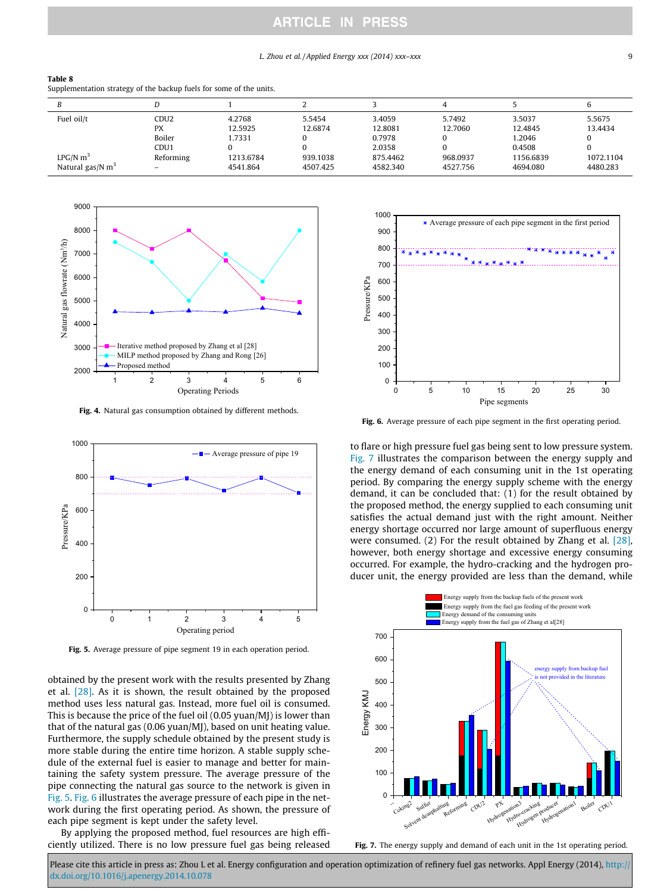#### L. Zhou et al. / Applied Energy xxx (2014) xxx–xxx 9

#### <span id="page-8-0"></span>Table 8

Supplementation strategy of the backup fuels for some of the units.

| Fuel oil/t                                             | CDU <sub>2</sub><br><b>PX</b>           | 4.2768<br>12.5925               | 5.5454<br>12.6874    | 3.4059<br>12.8081                        | 5.7492<br>12.7060    | 3.5037<br>12.4845                         | 5.5675<br>13.4434     |
|--------------------------------------------------------|-----------------------------------------|---------------------------------|----------------------|------------------------------------------|----------------------|-------------------------------------------|-----------------------|
| $LPG/N$ m <sup>3</sup><br>Natural gas/N m <sup>3</sup> | Boiler<br>CDU <sub>1</sub><br>Reforming | 1.7331<br>1213.6784<br>4541.864 | 939.1038<br>4507.425 | 0.7978<br>2.0358<br>875.4462<br>4582.340 | 968.0937<br>4527.756 | 1.2046<br>0.4508<br>1156.6839<br>4694.080 | 1072.1104<br>4480.283 |



Fig. 4. Natural gas consumption obtained by different methods.



Fig. 5. Average pressure of pipe segment 19 in each operation period.

obtained by the present work with the results presented by Zhang et al. [\[28\].](#page-9-0) As it is shown, the result obtained by the proposed method uses less natural gas. Instead, more fuel oil is consumed. This is because the price of the fuel oil (0.05 yuan/MJ) is lower than that of the natural gas (0.06 yuan/MJ), based on unit heating value. Furthermore, the supply schedule obtained by the present study is more stable during the entire time horizon. A stable supply schedule of the external fuel is easier to manage and better for maintaining the safety system pressure. The average pressure of the pipe connecting the natural gas source to the network is given in Fig. 5. Fig. 6 illustrates the average pressure of each pipe in the network during the first operating period. As shown, the pressure of each pipe segment is kept under the safety level.

By applying the proposed method, fuel resources are high efficiently utilized. There is no low pressure fuel gas being released



Fig. 6. Average pressure of each pipe segment in the first operating period.

to flare or high pressure fuel gas being sent to low pressure system. Fig. 7 illustrates the comparison between the energy supply and the energy demand of each consuming unit in the 1st operating period. By comparing the energy supply scheme with the energy demand, it can be concluded that: (1) for the result obtained by the proposed method, the energy supplied to each consuming unit satisfies the actual demand just with the right amount. Neither energy shortage occurred nor large amount of superfluous energy were consumed. (2) For the result obtained by Zhang et al. [\[28\],](#page-9-0) however, both energy shortage and excessive energy consuming occurred. For example, the hydro-cracking and the hydrogen producer unit, the energy provided are less than the demand, while



Fig. 7. The energy supply and demand of each unit in the 1st operating period.

Please cite this article in press as: Zhou L et al. Energy configuration and operation optimization of refinery fuel gas networks. Appl Energy (2014), http:/ [dx.doi.org/10.1016/j.apenergy.2014.10.078](http://dx.doi.org/10.1016/j.apenergy.2014.10.078)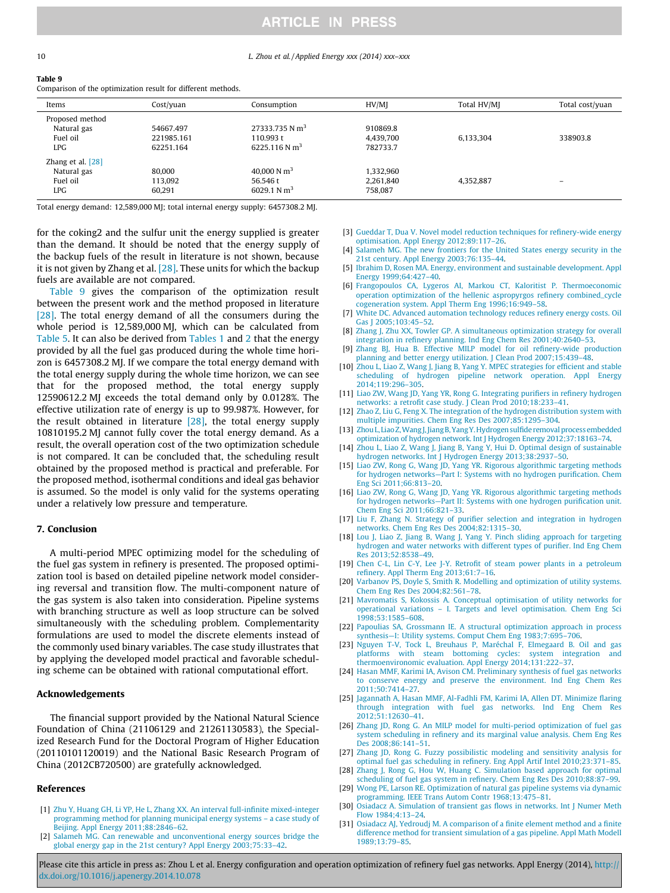#### 10 L. Zhou et al. / Applied Energy xxx (2014) xxx–xxx

<span id="page-9-0"></span>

#### Table 9

Comparison of the optimization result for different methods.

| Items               | $Cost/$ yuan | Consumption                | HV/MI     | Total HV/MJ | Total cost/yuan |
|---------------------|--------------|----------------------------|-----------|-------------|-----------------|
| Proposed method     |              |                            |           |             |                 |
| Natural gas         | 54667.497    | 27333.735 N m <sup>3</sup> | 910869.8  |             |                 |
| Fuel oil            | 221985.161   | 110.993 t                  | 4,439,700 | 6,133,304   | 338903.8        |
| LPG.                | 62251.164    | 6225.116 N m <sup>3</sup>  | 782733.7  |             |                 |
| Zhang et al. $[28]$ |              |                            |           |             |                 |
| Natural gas         | 80,000       | 40,000 N $m3$              | 1.332.960 |             |                 |
| Fuel oil            | 113.092      | 56.546 t                   | 2,261,840 | 4,352,887   | -               |
| LPG.                | 60.291       | 6029.1 N $m3$              | 758.087   |             |                 |

Total energy demand: 12,589,000 MJ; total internal energy supply: 6457308.2 MJ.

for the coking2 and the sulfur unit the energy supplied is greater than the demand. It should be noted that the energy supply of the backup fuels of the result in literature is not shown, because it is not given by Zhang et al.  $[28]$ . These units for which the backup fuels are available are not compared.

Table 9 gives the comparison of the optimization result between the present work and the method proposed in literature [28]. The total energy demand of all the consumers during the whole period is 12,589,000 MJ, which can be calculated from [Table 5](#page-7-0). It can also be derived from [Tables 1](#page-6-0) and [2](#page-6-0) that the energy provided by all the fuel gas produced during the whole time horizon is 6457308.2 MJ. If we compare the total energy demand with the total energy supply during the whole time horizon, we can see that for the proposed method, the total energy supply 12590612.2 MJ exceeds the total demand only by 0.0128%. The effective utilization rate of energy is up to 99.987%. However, for the result obtained in literature [28], the total energy supply 10810195.2 MJ cannot fully cover the total energy demand. As a result, the overall operation cost of the two optimization schedule is not compared. It can be concluded that, the scheduling result obtained by the proposed method is practical and preferable. For the proposed method, isothermal conditions and ideal gas behavior is assumed. So the model is only valid for the systems operating under a relatively low pressure and temperature.

## 7. Conclusion

A multi-period MPEC optimizing model for the scheduling of the fuel gas system in refinery is presented. The proposed optimization tool is based on detailed pipeline network model considering reversal and transition flow. The multi-component nature of the gas system is also taken into consideration. Pipeline systems with branching structure as well as loop structure can be solved simultaneously with the scheduling problem. Complementarity formulations are used to model the discrete elements instead of the commonly used binary variables. The case study illustrates that by applying the developed model practical and favorable scheduling scheme can be obtained with rational computational effort.

## Acknowledgements

The financial support provided by the National Natural Science Foundation of China (21106129 and 21261130583), the Specialized Research Fund for the Doctoral Program of Higher Education (20110101120019) and the National Basic Research Program of China (2012CB720500) are gratefully acknowledged.

#### References

- [1] [Zhu Y, Huang GH, Li YP, He L, Zhang XX. An interval full-infinite mixed-integer](http://refhub.elsevier.com/S0306-2619(14)01128-3/h0005) [programming method for planning municipal energy systems – a case study of](http://refhub.elsevier.com/S0306-2619(14)01128-3/h0005) [Beijing. Appl Energy 2011;88:2846–62](http://refhub.elsevier.com/S0306-2619(14)01128-3/h0005).
- [2] [Salameh MG. Can renewable and unconventional energy sources bridge the](http://refhub.elsevier.com/S0306-2619(14)01128-3/h0010) [global energy gap in the 21st century? Appl Energy 2003;75:33–42.](http://refhub.elsevier.com/S0306-2619(14)01128-3/h0010)
- [3] [Gueddar T, Dua V. Novel model reduction techniques for refinery-wide energy](http://refhub.elsevier.com/S0306-2619(14)01128-3/h0015) [optimisation. Appl Energy 2012;89:117–26](http://refhub.elsevier.com/S0306-2619(14)01128-3/h0015).
- [4] [Salameh MG. The new frontiers for the United States energy security in the](http://refhub.elsevier.com/S0306-2619(14)01128-3/h0020) [21st century. Appl Energy 2003;76:135–44](http://refhub.elsevier.com/S0306-2619(14)01128-3/h0020).
- [5] [Ibrahim D, Rosen MA. Energy, environment and sustainable development. Appl](http://refhub.elsevier.com/S0306-2619(14)01128-3/h0190) [Energy 1999;64:427–40](http://refhub.elsevier.com/S0306-2619(14)01128-3/h0190).
- [6] [Frangopoulos CA, Lygeros AI, Markou CT, Kaloritist P. Thermoeconomic](http://refhub.elsevier.com/S0306-2619(14)01128-3/h0030) [operation optimization of the hellenic aspropyrgos refinery combined\\_cycle](http://refhub.elsevier.com/S0306-2619(14)01128-3/h0030) [cogeneration system. Appl Therm Eng 1996;16:949–58.](http://refhub.elsevier.com/S0306-2619(14)01128-3/h0030)
- [7] [White DC. Advanced automation technology reduces refinery energy costs. Oil](http://refhub.elsevier.com/S0306-2619(14)01128-3/h0035) [Gas J 2005;103:45–52](http://refhub.elsevier.com/S0306-2619(14)01128-3/h0035).
- [8] [Zhang J, Zhu XX, Towler GP. A simultaneous optimization strategy for overall](http://refhub.elsevier.com/S0306-2619(14)01128-3/h0040) [integration in refinery planning. Ind Eng Chem Res 2001;40:2640–53.](http://refhub.elsevier.com/S0306-2619(14)01128-3/h0040)
- [9] [Zhang BJ, Hua B. Effective MILP model for oil refinery-wide production](http://refhub.elsevier.com/S0306-2619(14)01128-3/h0045) [planning and better energy utilization. J Clean Prod 2007;15:439–48.](http://refhub.elsevier.com/S0306-2619(14)01128-3/h0045)
- [10] Zhou L, Liao Z, Wang J, Jiang B, Yang Y, MPEC strategies for efficient and stable [scheduling of hydrogen pipeline network operation. Appl Energy](http://refhub.elsevier.com/S0306-2619(14)01128-3/h0050) [2014;119:296–305](http://refhub.elsevier.com/S0306-2619(14)01128-3/h0050).
- [11] [Liao ZW, Wang JD, Yang YR, Rong G. Integrating purifiers in refinery hydrogen](http://refhub.elsevier.com/S0306-2619(14)01128-3/h0055) [networks: a retrofit case study. J Clean Prod 2010;18:233–41.](http://refhub.elsevier.com/S0306-2619(14)01128-3/h0055)
- [12] [Zhao Z, Liu G, Feng X. The integration of the hydrogen distribution system with](http://refhub.elsevier.com/S0306-2619(14)01128-3/h0060) [multiple impurities. Chem Eng Res Des 2007;85:1295–304](http://refhub.elsevier.com/S0306-2619(14)01128-3/h0060).
- [13] [Zhou L, Liao Z,Wang J, JiangB, YangY.Hydrogen sulfide removal process embedded](http://refhub.elsevier.com/S0306-2619(14)01128-3/h0065) [optimization of hydrogen network. Int J Hydrogen Energy 2012;37:18163–74](http://refhub.elsevier.com/S0306-2619(14)01128-3/h0065).
- [14] [Zhou L, Liao Z, Wang J, Jiang B, Yang Y, Hui D. Optimal design of sustainable](http://refhub.elsevier.com/S0306-2619(14)01128-3/h0070) [hydrogen networks. Int J Hydrogen Energy 2013;38:2937–50.](http://refhub.elsevier.com/S0306-2619(14)01128-3/h0070)
- [15] [Liao ZW, Rong G, Wang JD, Yang YR. Rigorous algorithmic targeting methods](http://refhub.elsevier.com/S0306-2619(14)01128-3/h0075) [for hydrogen networks—Part I: Systems with no hydrogen purification. Chem](http://refhub.elsevier.com/S0306-2619(14)01128-3/h0075) [Eng Sci 2011;66:813–20.](http://refhub.elsevier.com/S0306-2619(14)01128-3/h0075)
- [16] [Liao ZW, Rong G, Wang JD, Yang YR. Rigorous algorithmic targeting methods](http://refhub.elsevier.com/S0306-2619(14)01128-3/h0080) [for hydrogen networks—Part II: Systems with one hydrogen purification unit.](http://refhub.elsevier.com/S0306-2619(14)01128-3/h0080) [Chem Eng Sci 2011;66:821–33](http://refhub.elsevier.com/S0306-2619(14)01128-3/h0080).
- [17] [Liu F, Zhang N. Strategy of purifier selection and integration in hydrogen](http://refhub.elsevier.com/S0306-2619(14)01128-3/h0085) [networks. Chem Eng Res Des 2004;82:1315–30.](http://refhub.elsevier.com/S0306-2619(14)01128-3/h0085)
- [18] [Lou J, Liao Z, Jiang B, Wang J, Yang Y. Pinch sliding approach for targeting](http://refhub.elsevier.com/S0306-2619(14)01128-3/h0090) [hydrogen and water networks with different types of purifier. Ind Eng Chem](http://refhub.elsevier.com/S0306-2619(14)01128-3/h0090) [Res 2013;52:8538–49.](http://refhub.elsevier.com/S0306-2619(14)01128-3/h0090)
- [19] [Chen C-L, Lin C-Y, Lee J-Y. Retrofit of steam power plants in a petroleum](http://refhub.elsevier.com/S0306-2619(14)01128-3/h9000) [refinery. Appl Therm Eng 2013;61:7–16.](http://refhub.elsevier.com/S0306-2619(14)01128-3/h9000)
- [20] [Varbanov PS, Doyle S, Smith R. Modelling and optimization of utility systems.](http://refhub.elsevier.com/S0306-2619(14)01128-3/h0100) [Chem Eng Res Des 2004;82:561–78.](http://refhub.elsevier.com/S0306-2619(14)01128-3/h0100)
- [21] [Mavromatis S, Kokossis A. Conceptual optimisation of utility networks for](http://refhub.elsevier.com/S0306-2619(14)01128-3/h0105) [operational variations – I. Targets and level optimisation. Chem Eng Sci](http://refhub.elsevier.com/S0306-2619(14)01128-3/h0105) [1998;53:1585–608](http://refhub.elsevier.com/S0306-2619(14)01128-3/h0105).
- [22] [Papoulias SA, Grossmann IE. A structural optimization approach in process](http://refhub.elsevier.com/S0306-2619(14)01128-3/h0110) [synthesis—I: Utility systems. Comput Chem Eng 1983;7:695–706.](http://refhub.elsevier.com/S0306-2619(14)01128-3/h0110)
- [23] [Nguyen T-V, Tock L, Breuhaus P, Maréchal F, Elmegaard B. Oil and gas](http://refhub.elsevier.com/S0306-2619(14)01128-3/h0115) [platforms with steam bottoming cycles: system integration and](http://refhub.elsevier.com/S0306-2619(14)01128-3/h0115) [thermoenvironomic evaluation. Appl Energy 2014;131:222–37](http://refhub.elsevier.com/S0306-2619(14)01128-3/h0115).
- [24] [Hasan MMF, Karimi IA, Avison CM. Preliminary synthesis of fuel gas networks](http://refhub.elsevier.com/S0306-2619(14)01128-3/h0120) [to conserve energy and preserve the environment. Ind Eng Chem Res](http://refhub.elsevier.com/S0306-2619(14)01128-3/h0120) [2011;50:7414–27](http://refhub.elsevier.com/S0306-2619(14)01128-3/h0120).
- [25] [Jagannath A, Hasan MMF, Al-Fadhli FM, Karimi IA, Allen DT. Minimize flaring](http://refhub.elsevier.com/S0306-2619(14)01128-3/h0125) [through integration with fuel gas networks. Ind Eng Chem Res](http://refhub.elsevier.com/S0306-2619(14)01128-3/h0125) [2012;51:12630–41](http://refhub.elsevier.com/S0306-2619(14)01128-3/h0125).
- [26] [Zhang JD, Rong G. An MILP model for multi-period optimization of fuel gas](http://refhub.elsevier.com/S0306-2619(14)01128-3/h0130) [system scheduling in refinery and its marginal value analysis. Chem Eng Res](http://refhub.elsevier.com/S0306-2619(14)01128-3/h0130) [Des 2008;86:141–51.](http://refhub.elsevier.com/S0306-2619(14)01128-3/h0130)
- [27] [Zhang JD, Rong G. Fuzzy possibilistic modeling and sensitivity analysis for](http://refhub.elsevier.com/S0306-2619(14)01128-3/h0135) [optimal fuel gas scheduling in refinery. Eng Appl Artif Intel 2010;23:371–85](http://refhub.elsevier.com/S0306-2619(14)01128-3/h0135).
- [28] [Zhang J, Rong G, Hou W, Huang C. Simulation based approach for optimal](http://refhub.elsevier.com/S0306-2619(14)01128-3/h0140) [scheduling of fuel gas system in refinery. Chem Eng Res Des 2010;88:87–99.](http://refhub.elsevier.com/S0306-2619(14)01128-3/h0140)
- [29] [Wong PE, Larson RE. Optimization of natural gas pipeline systems via dynamic](http://refhub.elsevier.com/S0306-2619(14)01128-3/h0145) [programming. IEEE Trans Autom Contr 1968;13:475–81](http://refhub.elsevier.com/S0306-2619(14)01128-3/h0145).
- [30] [Osiadacz A. Simulation of transient gas flows in networks. Int J Numer Meth](http://refhub.elsevier.com/S0306-2619(14)01128-3/h0150) [Flow 1984;4:13–24.](http://refhub.elsevier.com/S0306-2619(14)01128-3/h0150)
- [31] [Osiadacz AJ, Yedroudj M. A comparison of a finite element method and a finite](http://refhub.elsevier.com/S0306-2619(14)01128-3/h0155) [difference method for transient simulation of a gas pipeline. Appl Math Modell](http://refhub.elsevier.com/S0306-2619(14)01128-3/h0155) [1989;13:79–85.](http://refhub.elsevier.com/S0306-2619(14)01128-3/h0155)